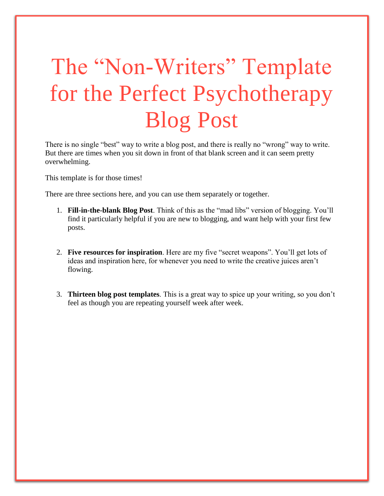# The "Non-Writers" Template for the Perfect Psychotherapy Blog Post

There is no single "best" way to write a blog post, and there is really no "wrong" way to write. But there are times when you sit down in front of that blank screen and it can seem pretty overwhelming.

This template is for those times!

There are three sections here, and you can use them separately or together.

- 1. **Fill-in-the-blank Blog Post**. Think of this as the "mad libs" version of blogging. You'll find it particularly helpful if you are new to blogging, and want help with your first few posts.
- 2. **Five resources for inspiration**. Here are my five "secret weapons". You'll get lots of ideas and inspiration here, for whenever you need to write the creative juices aren't flowing.
- 3. **Thirteen blog post templates**. This is a great way to spice up your writing, so you don't feel as though you are repeating yourself week after week.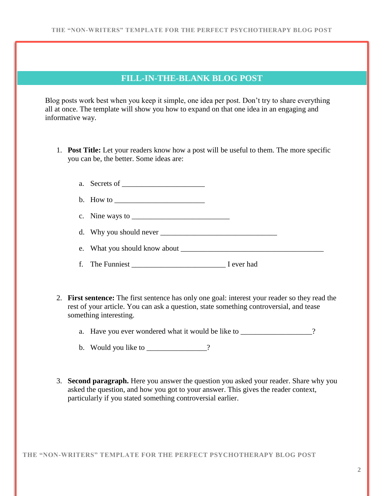### **FILL-IN-THE-BLANK BLOG POST**

Blog posts work best when you keep it simple, one idea per post. Don't try to share everything all at once. The template will show you how to expand on that one idea in an engaging and informative way.

1. **Post Title:** Let your readers know how a post will be useful to them. The more specific you can be, the better. Some ideas are:

| a. Secrets of $\_\_$                                                                                                                                                                                                                                                                                                                                                                                                                     |  |
|------------------------------------------------------------------------------------------------------------------------------------------------------------------------------------------------------------------------------------------------------------------------------------------------------------------------------------------------------------------------------------------------------------------------------------------|--|
|                                                                                                                                                                                                                                                                                                                                                                                                                                          |  |
| c. Nine ways to $\frac{1}{\sqrt{1-\frac{1}{2}} \cdot \frac{1}{\sqrt{1-\frac{1}{2}} \cdot \frac{1}{\sqrt{1-\frac{1}{2}} \cdot \frac{1}{\sqrt{1-\frac{1}{2}} \cdot \frac{1}{\sqrt{1-\frac{1}{2}} \cdot \frac{1}{\sqrt{1-\frac{1}{2}} \cdot \frac{1}{\sqrt{1-\frac{1}{2}} \cdot \frac{1}{\sqrt{1-\frac{1}{2}} \cdot \frac{1}{\sqrt{1-\frac{1}{2}} \cdot \frac{1}{\sqrt{1-\frac{1}{2}} \cdot \frac{1}{\sqrt{1-\frac{1}{2}} \cdot \frac{1}{\$ |  |
|                                                                                                                                                                                                                                                                                                                                                                                                                                          |  |
|                                                                                                                                                                                                                                                                                                                                                                                                                                          |  |
|                                                                                                                                                                                                                                                                                                                                                                                                                                          |  |

- 2. **First sentence:** The first sentence has only one goal: interest your reader so they read the rest of your article. You can ask a question, state something controversial, and tease something interesting.
	- a. Have you ever wondered what it would be like to \_\_\_\_\_\_\_\_\_\_\_\_\_\_\_\_\_?
	- b. Would you like to  $\frac{1}{2}$
- 3. **Second paragraph.** Here you answer the question you asked your reader. Share why you asked the question, and how you got to your answer. This gives the reader context, particularly if you stated something controversial earlier.

**THE "NON-WRITERS" TEMPLATE FOR THE PERFECT PSYCHOTHERAPY BLOG POST**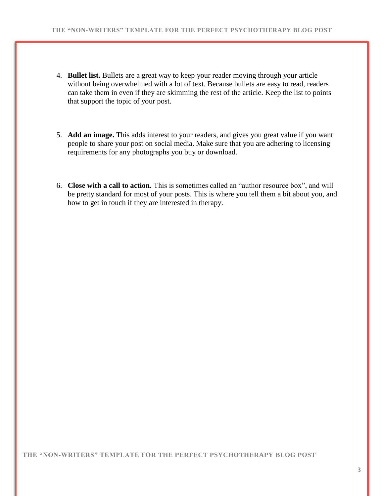- 4. **Bullet list.** Bullets are a great way to keep your reader moving through your article without being overwhelmed with a lot of text. Because bullets are easy to read, readers can take them in even if they are skimming the rest of the article. Keep the list to points that support the topic of your post.
- 5. **Add an image.** This adds interest to your readers, and gives you great value if you want people to share your post on social media. Make sure that you are adhering to licensing requirements for any photographs you buy or download.
- 6. **Close with a call to action.** This is sometimes called an "author resource box", and will be pretty standard for most of your posts. This is where you tell them a bit about you, and how to get in touch if they are interested in therapy.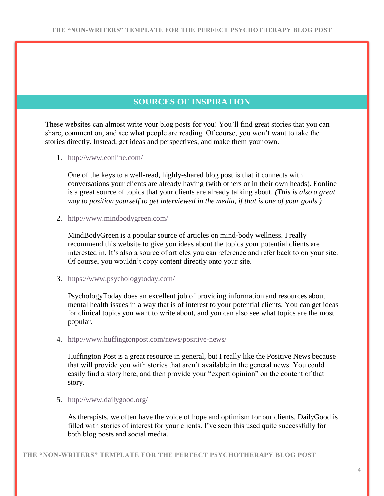# **SOURCES OF INSPIRATION**

These websites can almost write your blog posts for you! You'll find great stories that you can share, comment on, and see what people are reading. Of course, you won't want to take the stories directly. Instead, get ideas and perspectives, and make them your own.

#### 1. <http://www.eonline.com/>

One of the keys to a well-read, highly-shared blog post is that it connects with conversations your clients are already having (with others or in their own heads). Eonline is a great source of topics that your clients are already talking about. *(This is also a great way to position yourself to get interviewed in the media, if that is one of your goals.)*

#### 2. <http://www.mindbodygreen.com/>

MindBodyGreen is a popular source of articles on mind-body wellness. I really recommend this website to give you ideas about the topics your potential clients are interested in. It's also a source of articles you can reference and refer back to on your site. Of course, you wouldn't copy content directly onto your site.

#### 3. <https://www.psychologytoday.com/>

PsychologyToday does an excellent job of providing information and resources about mental health issues in a way that is of interest to your potential clients. You can get ideas for clinical topics you want to write about, and you can also see what topics are the most popular.

#### 4. <http://www.huffingtonpost.com/news/positive-news/>

Huffington Post is a great resource in general, but I really like the Positive News because that will provide you with stories that aren't available in the general news. You could easily find a story here, and then provide your "expert opinion" on the content of that story.

#### 5. <http://www.dailygood.org/>

As therapists, we often have the voice of hope and optimism for our clients. DailyGood is filled with stories of interest for your clients. I've seen this used quite successfully for both blog posts and social media.

**THE "NON-WRITERS" TEMPLATE FOR THE PERFECT PSYCHOTHERAPY BLOG POST**